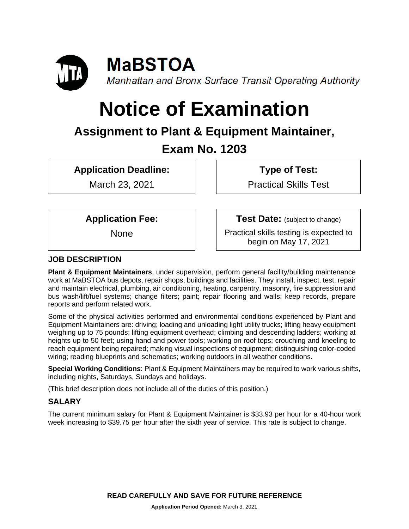

# **Notice of Examination**

# **Assignment to Plant & Equipment Maintainer, Exam No. 1203**

**Application Deadline:**

March 23, 2021

**Type of Test:** 

Practical Skills Test

**Application Fee:**

None

**Test Date:** (subject to change)

Practical skills testing is expected to begin on May 17, 2021

# **JOB DESCRIPTION**

**Plant & Equipment Maintainers**, under supervision, perform general facility/building maintenance work at MaBSTOA bus depots, repair shops, buildings and facilities. They install, inspect, test, repair and maintain electrical, plumbing, air conditioning, heating, carpentry, masonry, fire suppression and bus wash/lift/fuel systems; change filters; paint; repair flooring and walls; keep records, prepare reports and perform related work.

Some of the physical activities performed and environmental conditions experienced by Plant and Equipment Maintainers are: driving; loading and unloading light utility trucks; lifting heavy equipment weighing up to 75 pounds; lifting equipment overhead; climbing and descending ladders; working at heights up to 50 feet; using hand and power tools; working on roof tops; crouching and kneeling to reach equipment being repaired; making visual inspections of equipment; distinguishing color-coded wiring; reading blueprints and schematics; working outdoors in all weather conditions.

**Special Working Conditions**: Plant & Equipment Maintainers may be required to work various shifts, including nights, Saturdays, Sundays and holidays.

(This brief description does not include all of the duties of this position.)

# **SALARY**

The current minimum salary for Plant & Equipment Maintainer is \$33.93 per hour for a 40-hour work week increasing to \$39.75 per hour after the sixth year of service. This rate is subject to change.

**READ CAREFULLY AND SAVE FOR FUTURE REFERENCE**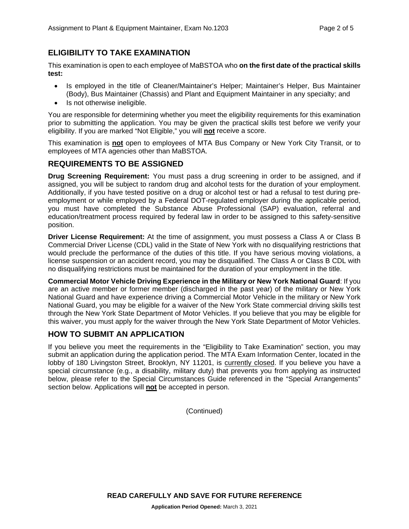# **ELIGIBILITY TO TAKE EXAMINATION**

This examination is open to each employee of MaBSTOA who **on the first date of the practical skills test:**

- Is employed in the title of Cleaner/Maintainer's Helper; Maintainer's Helper, Bus Maintainer (Body), Bus Maintainer (Chassis) and Plant and Equipment Maintainer in any specialty; and
- Is not otherwise ineligible.

You are responsible for determining whether you meet the eligibility requirements for this examination prior to submitting the application. You may be given the practical skills test before we verify your eligibility. If you are marked "Not Eligible," you will **not** receive a score.

This examination is **not** open to employees of MTA Bus Company or New York City Transit, or to employees of MTA agencies other than MaBSTOA.

#### **REQUIREMENTS TO BE ASSIGNED**

**Drug Screening Requirement:** You must pass a drug screening in order to be assigned, and if assigned, you will be subject to random drug and alcohol tests for the duration of your employment. Additionally, if you have tested positive on a drug or alcohol test or had a refusal to test during preemployment or while employed by a Federal DOT-regulated employer during the applicable period, you must have completed the Substance Abuse Professional (SAP) evaluation, referral and education/treatment process required by federal law in order to be assigned to this safety-sensitive position.

**Driver License Requirement:** At the time of assignment, you must possess a Class A or Class B Commercial Driver License (CDL) valid in the State of New York with no disqualifying restrictions that would preclude the performance of the duties of this title. If you have serious moving violations, a license suspension or an accident record, you may be disqualified. The Class A or Class B CDL with no disqualifying restrictions must be maintained for the duration of your employment in the title.

**Commercial Motor Vehicle Driving Experience in the Military or New York National Guard**: If you are an active member or former member (discharged in the past year) of the military or New York National Guard and have experience driving a Commercial Motor Vehicle in the military or New York National Guard, you may be eligible for a waiver of the New York State commercial driving skills test through the New York State Department of Motor Vehicles. If you believe that you may be eligible for this waiver, you must apply for the waiver through the New York State Department of Motor Vehicles.

#### **HOW TO SUBMIT AN APPLICATION**

If you believe you meet the requirements in the "Eligibility to Take Examination" section, you may submit an application during the application period. The MTA Exam Information Center, located in the lobby of 180 Livingston Street, Brooklyn, NY 11201, is currently closed. If you believe you have a special circumstance (e.g., a disability, military duty) that prevents you from applying as instructed below, please refer to the Special Circumstances Guide referenced in the "Special Arrangements" section below. Applications will **not** be accepted in person.

(Continued)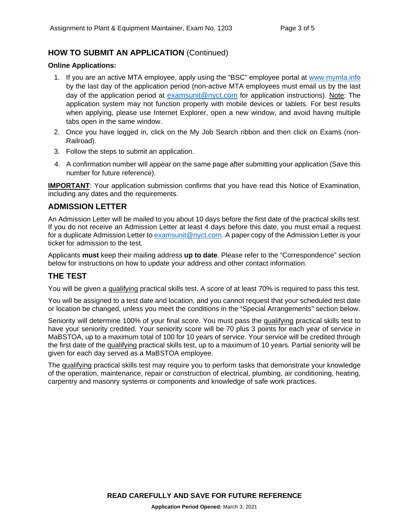# **HOW TO SUBMIT AN APPLICATION** (Continued)

#### **Online Applications:**

- 1. If you are an active MTA employee, apply using the "BSC" employee portal at [www.mymta.info](http://www.mymta.info/) by the last day of the application period (non-active MTA employees must email us by the last day of the application period at [examsunit@nyct.com](mailto:examsunit@nyct.com) for application instructions). Note: The application system may not function properly with mobile devices or tablets. For best results when applying, please use Internet Explorer, open a new window, and avoid having multiple tabs open in the same window.
- 2. Once you have logged in, click on the My Job Search ribbon and then click on Exams (non-Railroad).
- 3. Follow the steps to submit an application.
- 4. A confirmation number will appear on the same page after submitting your application (Save this number for future reference).

**IMPORTANT**: Your application submission confirms that you have read this Notice of Examination, including any dates and the requirements.

#### **ADMISSION LETTER**

An Admission Letter will be mailed to you about 10 days before the first date of the practical skills test. If you do not receive an Admission Letter at least 4 days before this date, you must email a request for a duplicate Admission Letter to [examsunit@nyct.com.](mailto:examsunit@nyct.com) A paper copy of the Admission Letter is your ticket for admission to the test.

Applicants **must** keep their mailing address **up to date**. Please refer to the "Correspondence" section below for instructions on how to update your address and other contact information.

#### **THE TEST**

You will be given a qualifying practical skills test. A score of at least 70% is required to pass this test.

You will be assigned to a test date and location, and you cannot request that your scheduled test date or location be changed, unless you meet the conditions in the "Special Arrangements" section below.

Seniority will determine 100% of your final score. You must pass the qualifying practical skills test to have your seniority credited. Your seniority score will be 70 plus 3 points for each year of service in MaBSTOA, up to a maximum total of 100 for 10 years of service. Your service will be credited through the first date of the qualifying practical skills test, up to a maximum of 10 years. Partial seniority will be given for each day served as a MaBSTOA employee.

The qualifying practical skills test may require you to perform tasks that demonstrate your knowledge of the operation, maintenance, repair or construction of electrical, plumbing, air conditioning, heating, carpentry and masonry systems or components and knowledge of safe work practices.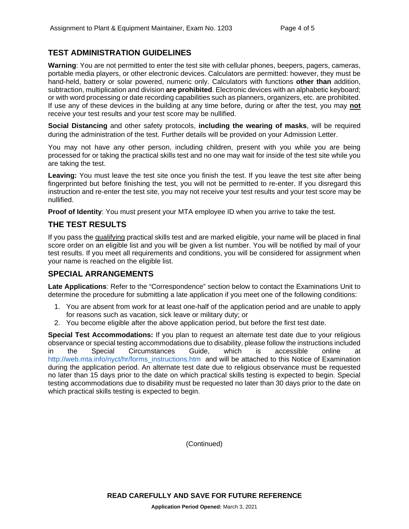### **TEST ADMINISTRATION GUIDELINES**

**Warning**: You are not permitted to enter the test site with cellular phones, beepers, pagers, cameras, portable media players, or other electronic devices. Calculators are permitted: however, they must be hand-held, battery or solar powered, numeric only. Calculators with functions **other than** addition, subtraction, multiplication and division **are prohibited**. Electronic devices with an alphabetic keyboard; or with word processing or date recording capabilities such as planners, organizers, etc. are prohibited. If use any of these devices in the building at any time before, during or after the test, you may **not** receive your test results and your test score may be nullified.

**Social Distancing** and other safety protocols, **including the wearing of masks**, will be required during the administration of the test. Further details will be provided on your Admission Letter.

You may not have any other person, including children, present with you while you are being processed for or taking the practical skills test and no one may wait for inside of the test site while you are taking the test.

Leaving: You must leave the test site once you finish the test. If you leave the test site after being fingerprinted but before finishing the test, you will not be permitted to re-enter. If you disregard this instruction and re-enter the test site, you may not receive your test results and your test score may be nullified.

**Proof of Identity**: You must present your MTA employee ID when you arrive to take the test.

#### **THE TEST RESULTS**

If you pass the qualifying practical skills test and are marked eligible, your name will be placed in final score order on an eligible list and you will be given a list number. You will be notified by mail of your test results. If you meet all requirements and conditions, you will be considered for assignment when your name is reached on the eligible list.

#### **SPECIAL ARRANGEMENTS**

**Late Applications**: Refer to the "Correspondence" section below to contact the Examinations Unit to determine the procedure for submitting a late application if you meet one of the following conditions:

- 1. You are absent from work for at least one-half of the application period and are unable to apply for reasons such as vacation, sick leave or military duty; or
- 2. You become eligible after the above application period, but before the first test date.

**Special Test Accommodations:** If you plan to request an alternate test date due to your religious observance or special testing accommodations due to disability, please follow the instructions included in the Special Circumstances Guide, which is accessible online at [http://web.mta.info/nyct/hr/forms\\_instructions.htm](http://web.mta.info/nyct/hr/forms_instructions.htm) and will be attached to this Notice of Examination during the application period. An alternate test date due to religious observance must be requested no later than 15 days prior to the date on which practical skills testing is expected to begin. Special testing accommodations due to disability must be requested no later than 30 days prior to the date on which practical skills testing is expected to begin.

(Continued)